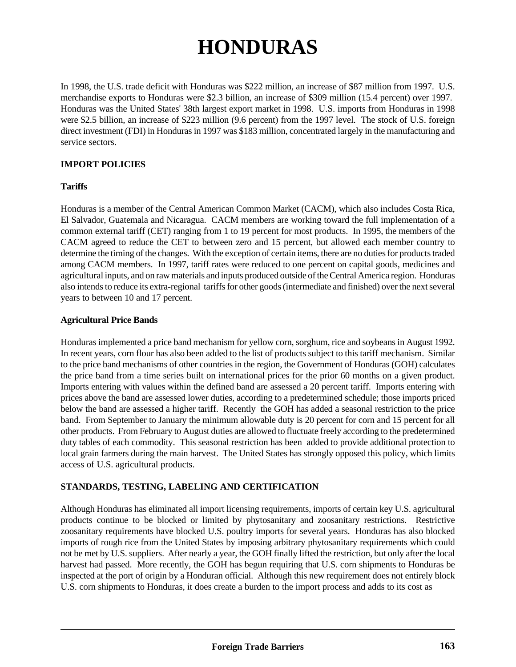# **HONDURAS**

In 1998, the U.S. trade deficit with Honduras was \$222 million, an increase of \$87 million from 1997. U.S. merchandise exports to Honduras were \$2.3 billion, an increase of \$309 million (15.4 percent) over 1997. Honduras was the United States' 38th largest export market in 1998. U.S. imports from Honduras in 1998 were \$2.5 billion, an increase of \$223 million (9.6 percent) from the 1997 level. The stock of U.S. foreign direct investment (FDI) in Honduras in 1997 was \$183 million, concentrated largely in the manufacturing and service sectors.

# **IMPORT POLICIES**

## **Tariffs**

Honduras is a member of the Central American Common Market (CACM), which also includes Costa Rica, El Salvador, Guatemala and Nicaragua. CACM members are working toward the full implementation of a common external tariff (CET) ranging from 1 to 19 percent for most products. In 1995, the members of the CACM agreed to reduce the CET to between zero and 15 percent, but allowed each member country to determine the timing of the changes. With the exception of certain items, there are no duties for products traded among CACM members. In 1997, tariff rates were reduced to one percent on capital goods, medicines and agricultural inputs, and on raw materials and inputs produced outside of the Central America region. Honduras also intends to reduce its extra-regional tariffs for other goods (intermediate and finished) over the next several years to between 10 and 17 percent.

## **Agricultural Price Bands**

Honduras implemented a price band mechanism for yellow corn, sorghum, rice and soybeans in August 1992. In recent years, corn flour has also been added to the list of products subject to this tariff mechanism. Similar to the price band mechanisms of other countries in the region, the Government of Honduras (GOH) calculates the price band from a time series built on international prices for the prior 60 months on a given product. Imports entering with values within the defined band are assessed a 20 percent tariff. Imports entering with prices above the band are assessed lower duties, according to a predetermined schedule; those imports priced below the band are assessed a higher tariff. Recently the GOH has added a seasonal restriction to the price band. From September to January the minimum allowable duty is 20 percent for corn and 15 percent for all other products. From February to August duties are allowed to fluctuate freely according to the predetermined duty tables of each commodity. This seasonal restriction has been added to provide additional protection to local grain farmers during the main harvest. The United States has strongly opposed this policy, which limits access of U.S. agricultural products.

## **STANDARDS, TESTING, LABELING AND CERTIFICATION**

Although Honduras has eliminated all import licensing requirements, imports of certain key U.S. agricultural products continue to be blocked or limited by phytosanitary and zoosanitary restrictions. Restrictive zoosanitary requirements have blocked U.S. poultry imports for several years. Honduras has also blocked imports of rough rice from the United States by imposing arbitrary phytosanitary requirements which could not be met by U.S. suppliers. After nearly a year, the GOH finally lifted the restriction, but only after the local harvest had passed. More recently, the GOH has begun requiring that U.S. corn shipments to Honduras be inspected at the port of origin by a Honduran official. Although this new requirement does not entirely block U.S. corn shipments to Honduras, it does create a burden to the import process and adds to its cost as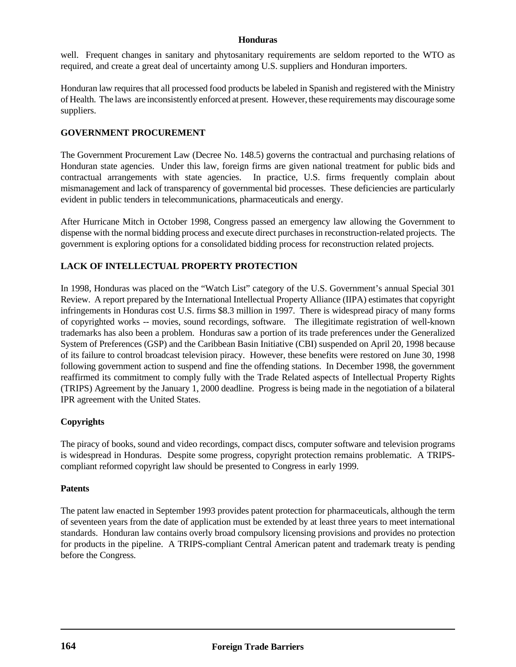#### **Honduras**

well. Frequent changes in sanitary and phytosanitary requirements are seldom reported to the WTO as required, and create a great deal of uncertainty among U.S. suppliers and Honduran importers.

Honduran law requires that all processed food products be labeled in Spanish and registered with the Ministry of Health. The laws are inconsistently enforced at present. However, these requirements may discourage some suppliers.

## **GOVERNMENT PROCUREMENT**

The Government Procurement Law (Decree No. 148.5) governs the contractual and purchasing relations of Honduran state agencies. Under this law, foreign firms are given national treatment for public bids and contractual arrangements with state agencies. In practice, U.S. firms frequently complain about mismanagement and lack of transparency of governmental bid processes. These deficiencies are particularly evident in public tenders in telecommunications, pharmaceuticals and energy.

After Hurricane Mitch in October 1998, Congress passed an emergency law allowing the Government to dispense with the normal bidding process and execute direct purchases in reconstruction-related projects. The government is exploring options for a consolidated bidding process for reconstruction related projects.

# **LACK OF INTELLECTUAL PROPERTY PROTECTION**

In 1998, Honduras was placed on the "Watch List" category of the U.S. Government's annual Special 301 Review. A report prepared by the International Intellectual Property Alliance (IIPA) estimates that copyright infringements in Honduras cost U.S. firms \$8.3 million in 1997. There is widespread piracy of many forms of copyrighted works -- movies, sound recordings, software. The illegitimate registration of well-known trademarks has also been a problem. Honduras saw a portion of its trade preferences under the Generalized System of Preferences (GSP) and the Caribbean Basin Initiative (CBI) suspended on April 20, 1998 because of its failure to control broadcast television piracy. However, these benefits were restored on June 30, 1998 following government action to suspend and fine the offending stations. In December 1998, the government reaffirmed its commitment to comply fully with the Trade Related aspects of Intellectual Property Rights (TRIPS) Agreement by the January 1, 2000 deadline. Progress is being made in the negotiation of a bilateral IPR agreement with the United States.

## **Copyrights**

The piracy of books, sound and video recordings, compact discs, computer software and television programs is widespread in Honduras. Despite some progress, copyright protection remains problematic. A TRIPScompliant reformed copyright law should be presented to Congress in early 1999.

## **Patents**

The patent law enacted in September 1993 provides patent protection for pharmaceuticals, although the term of seventeen years from the date of application must be extended by at least three years to meet international standards. Honduran law contains overly broad compulsory licensing provisions and provides no protection for products in the pipeline. A TRIPS-compliant Central American patent and trademark treaty is pending before the Congress.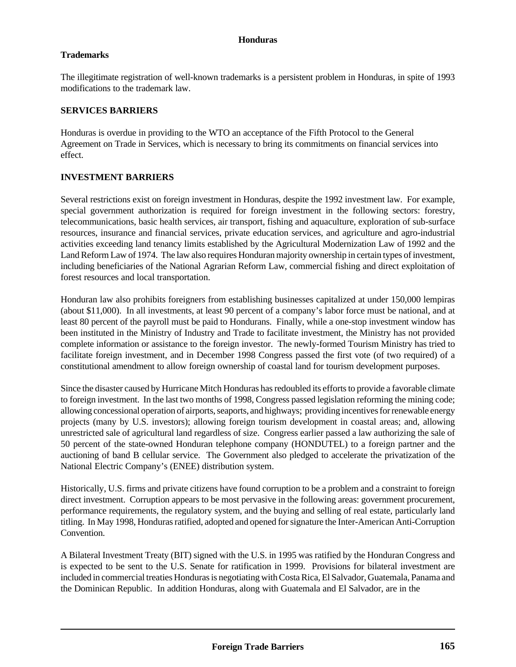#### **Honduras**

#### **Trademarks**

The illegitimate registration of well-known trademarks is a persistent problem in Honduras, in spite of 1993 modifications to the trademark law.

#### **SERVICES BARRIERS**

Honduras is overdue in providing to the WTO an acceptance of the Fifth Protocol to the General Agreement on Trade in Services, which is necessary to bring its commitments on financial services into effect.

#### **INVESTMENT BARRIERS**

Several restrictions exist on foreign investment in Honduras, despite the 1992 investment law. For example, special government authorization is required for foreign investment in the following sectors: forestry, telecommunications, basic health services, air transport, fishing and aquaculture, exploration of sub-surface resources, insurance and financial services, private education services, and agriculture and agro-industrial activities exceeding land tenancy limits established by the Agricultural Modernization Law of 1992 and the Land Reform Law of 1974. The law also requires Honduran majority ownership in certain types of investment, including beneficiaries of the National Agrarian Reform Law, commercial fishing and direct exploitation of forest resources and local transportation.

Honduran law also prohibits foreigners from establishing businesses capitalized at under 150,000 lempiras (about \$11,000). In all investments, at least 90 percent of a company's labor force must be national, and at least 80 percent of the payroll must be paid to Hondurans. Finally, while a one-stop investment window has been instituted in the Ministry of Industry and Trade to facilitate investment, the Ministry has not provided complete information or assistance to the foreign investor. The newly-formed Tourism Ministry has tried to facilitate foreign investment, and in December 1998 Congress passed the first vote (of two required) of a constitutional amendment to allow foreign ownership of coastal land for tourism development purposes.

Since the disaster caused by Hurricane Mitch Honduras has redoubled its efforts to provide a favorable climate to foreign investment. In the last two months of 1998, Congress passed legislation reforming the mining code; allowing concessional operation of airports, seaports, and highways; providing incentives for renewable energy projects (many by U.S. investors); allowing foreign tourism development in coastal areas; and, allowing unrestricted sale of agricultural land regardless of size. Congress earlier passed a law authorizing the sale of 50 percent of the state-owned Honduran telephone company (HONDUTEL) to a foreign partner and the auctioning of band B cellular service. The Government also pledged to accelerate the privatization of the National Electric Company's (ENEE) distribution system.

Historically, U.S. firms and private citizens have found corruption to be a problem and a constraint to foreign direct investment. Corruption appears to be most pervasive in the following areas: government procurement, performance requirements, the regulatory system, and the buying and selling of real estate, particularly land titling. In May 1998, Honduras ratified, adopted and opened for signature the Inter-American Anti-Corruption Convention.

A Bilateral Investment Treaty (BIT) signed with the U.S. in 1995 was ratified by the Honduran Congress and is expected to be sent to the U.S. Senate for ratification in 1999. Provisions for bilateral investment are included in commercial treaties Honduras is negotiating with Costa Rica, El Salvador, Guatemala, Panama and the Dominican Republic. In addition Honduras, along with Guatemala and El Salvador, are in the